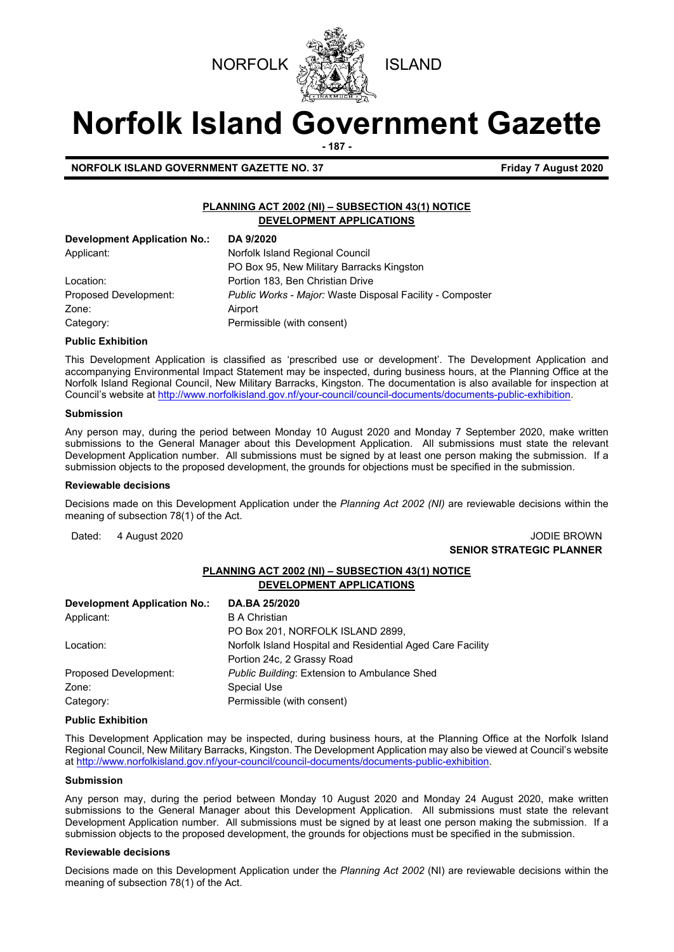



# **Norfolk Island Government Gazette**

**- 187 -**

**NORFOLK ISLAND GOVERNMENT GAZETTE NO. 37 Friday 7 August 2020** 

## **PLANNING ACT 2002 (NI) – SUBSECTION 43(1) NOTICE DEVELOPMENT APPLICATIONS**

| Development Application No.: | DA 9/2020                                                 |
|------------------------------|-----------------------------------------------------------|
| Applicant:                   | Norfolk Island Regional Council                           |
|                              | PO Box 95, New Military Barracks Kingston                 |
| Location:                    | Portion 183, Ben Christian Drive                          |
| Proposed Development:        | Public Works - Major: Waste Disposal Facility - Composter |
| Zone:                        | Airport                                                   |
| Category:                    | Permissible (with consent)                                |

#### **Public Exhibition**

This Development Application is classified as 'prescribed use or development'. The Development Application and accompanying Environmental Impact Statement may be inspected, during business hours, at the Planning Office at the Norfolk Island Regional Council, New Military Barracks, Kingston. The documentation is also available for inspection at Council's website a[t http://www.norfolkisland.gov.nf/your-council/council-documents/documents-public-exhibition.](http://www.norfolkisland.gov.nf/your-council/council-documents/documents-public-exhibition) 

#### **Submission**

Any person may, during the period between Monday 10 August 2020 and Monday 7 September 2020, make written submissions to the General Manager about this Development Application. All submissions must state the relevant Development Application number. All submissions must be signed by at least one person making the submission. If a submission objects to the proposed development, the grounds for objections must be specified in the submission.

#### **Reviewable decisions**

Decisions made on this Development Application under the *Planning Act 2002 (NI)* are reviewable decisions within the meaning of subsection 78(1) of the Act.

# Dated: 4 August 2020 **John Communist 2020** JODIE BROWN **SENIOR STRATEGIC PLANNER**

# **PLANNING ACT 2002 (NI) – SUBSECTION 43(1) NOTICE DEVELOPMENT APPLICATIONS**

| <b>Development Application No.:</b> | DA.BA 25/2020                                              |
|-------------------------------------|------------------------------------------------------------|
| Applicant:                          | <b>B</b> A Christian                                       |
|                                     | PO Box 201, NORFOLK ISLAND 2899,                           |
| Location:                           | Norfolk Island Hospital and Residential Aged Care Facility |
|                                     | Portion 24c, 2 Grassy Road                                 |
| Proposed Development:               | <b>Public Building: Extension to Ambulance Shed</b>        |
| Zone:                               | <b>Special Use</b>                                         |
| Category:                           | Permissible (with consent)                                 |

#### **Public Exhibition**

This Development Application may be inspected, during business hours, at the Planning Office at the Norfolk Island Regional Council, New Military Barracks, Kingston. The Development Application may also be viewed at Council's website a[t http://www.norfolkisland.gov.nf/your-council/council-documents/documents-public-exhibition.](http://www.norfolkisland.gov.nf/your-council/council-documents/documents-public-exhibition)

#### **Submission**

Any person may, during the period between Monday 10 August 2020 and Monday 24 August 2020, make written submissions to the General Manager about this Development Application. All submissions must state the relevant Development Application number. All submissions must be signed by at least one person making the submission. If a submission objects to the proposed development, the grounds for objections must be specified in the submission.

#### **Reviewable decisions**

Decisions made on this Development Application under the *Planning Act 2002* (NI) are reviewable decisions within the meaning of subsection 78(1) of the Act.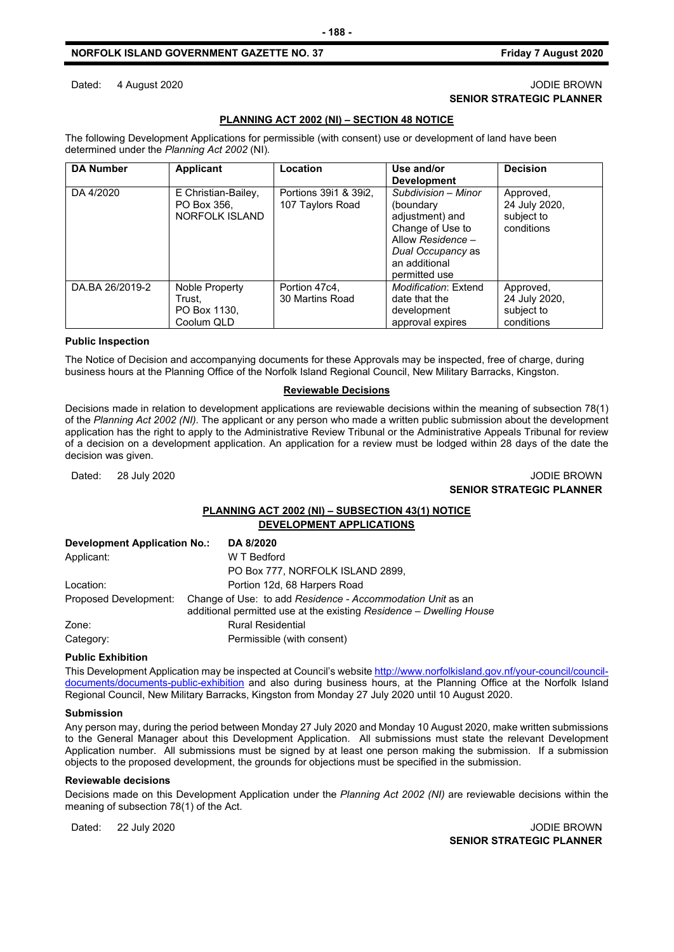### **NORFOLK ISLAND GOVERNMENT GAZETTE NO. 37 Friday 7 August 2020**

# **PLANNING ACT 2002 (NI) – SECTION 48 NOTICE**

The following Development Applications for permissible (with consent) use or development of land have been determined under the *Planning Act 2002* (NI)*.*

| <b>DA Number</b> | <b>Applicant</b>                                       | Location                                  | Use and/or<br><b>Development</b>                                                                                                                    | <b>Decision</b>                                        |
|------------------|--------------------------------------------------------|-------------------------------------------|-----------------------------------------------------------------------------------------------------------------------------------------------------|--------------------------------------------------------|
| DA 4/2020        | E Christian-Bailey,<br>PO Box 356.<br>NORFOLK ISLAND   | Portions 3911 & 3912,<br>107 Taylors Road | Subdivision - Minor<br>(boundary<br>adjustment) and<br>Change of Use to<br>Allow Residence -<br>Dual Occupancy as<br>an additional<br>permitted use | Approved,<br>24 July 2020,<br>subject to<br>conditions |
| DA.BA 26/2019-2  | Noble Property<br>Trust.<br>PO Box 1130,<br>Coolum QLD | Portion 47c4,<br>30 Martins Road          | Modification: Extend<br>date that the<br>development<br>approval expires                                                                            | Approved,<br>24 July 2020,<br>subject to<br>conditions |

#### **Public Inspection**

The Notice of Decision and accompanying documents for these Approvals may be inspected, free of charge, during business hours at the Planning Office of the Norfolk Island Regional Council, New Military Barracks, Kingston.

#### **Reviewable Decisions**

Decisions made in relation to development applications are reviewable decisions within the meaning of subsection 78(1) of the *Planning Act 2002 (NI).* The applicant or any person who made a written public submission about the development application has the right to apply to the Administrative Review Tribunal or the Administrative Appeals Tribunal for review of a decision on a development application. An application for a review must be lodged within 28 days of the date the decision was given.

# Dated: 28 July 2020 JODIE BROWN **SENIOR STRATEGIC PLANNER**

# **PLANNING ACT 2002 (NI) – SUBSECTION 43(1) NOTICE DEVELOPMENT APPLICATIONS**

| <b>Development Application No.:</b> | DA 8/2020                                                                                                                         |
|-------------------------------------|-----------------------------------------------------------------------------------------------------------------------------------|
| Applicant:                          | W T Bedford                                                                                                                       |
|                                     | PO Box 777, NORFOLK ISLAND 2899,                                                                                                  |
| Location:                           | Portion 12d, 68 Harpers Road                                                                                                      |
| Proposed Development:               | Change of Use: to add Residence - Accommodation Unit as an<br>additional permitted use at the existing Residence - Dwelling House |
| Zone:                               | <b>Rural Residential</b>                                                                                                          |
| Category:                           | Permissible (with consent)                                                                                                        |

#### **Public Exhibition**

This Development Application may be inspected at Council's websit[e http://www.norfolkisland.gov.nf/your-council/council](http://www.norfolkisland.gov.nf/your-council/council-documents/documents-public-exhibition)[documents/documents-public-exhibition](http://www.norfolkisland.gov.nf/your-council/council-documents/documents-public-exhibition) and also during business hours, at the Planning Office at the Norfolk Island Regional Council, New Military Barracks, Kingston from Monday 27 July 2020 until 10 August 2020.

#### **Submission**

Any person may, during the period between Monday 27 July 2020 and Monday 10 August 2020, make written submissions to the General Manager about this Development Application. All submissions must state the relevant Development Application number. All submissions must be signed by at least one person making the submission. If a submission objects to the proposed development, the grounds for objections must be specified in the submission.

#### **Reviewable decisions**

Decisions made on this Development Application under the *Planning Act 2002 (NI)* are reviewable decisions within the meaning of subsection 78(1) of the Act.

Dated: 22 July 2020 20 John Brown 20 John Brown 20 John Brown 20 John Brown 20 John Brown 20 John Brown 20 John Brown 20 John Brown 20 John Brown 20 John Brown 20 John Brown 20 John Brown 20 John Brown 20 John Brown 20 Joh

**SENIOR STRATEGIC PLANNER** 

# Dated: 4 August 2020 **JODIE BROWN SENIOR STRATEGIC PLANNER**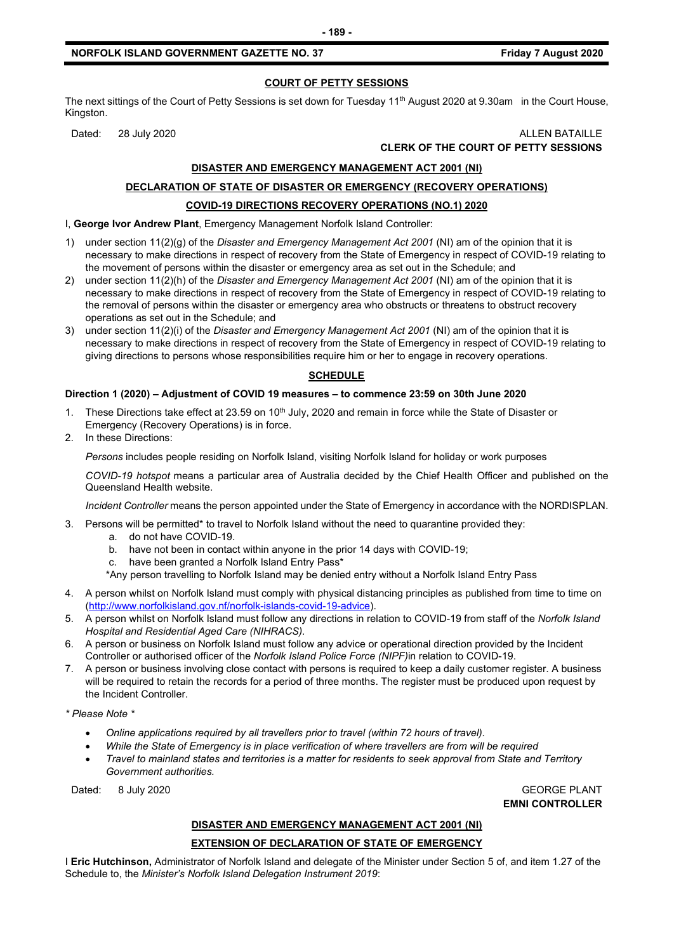# **COURT OF PETTY SESSIONS**

The next sittings of the Court of Petty Sessions is set down for Tuesday  $11<sup>th</sup>$  August 2020 at 9.30am in the Court House, Kingston.

#### Dated: 28 July 2020 ALLEN BATAILLE **CLERK OF THE COURT OF PETTY SESSIONS**

# **DISASTER AND EMERGENCY MANAGEMENT ACT 2001 (NI)**

# **DECLARATION OF STATE OF DISASTER OR EMERGENCY (RECOVERY OPERATIONS) COVID-19 DIRECTIONS RECOVERY OPERATIONS (NO.1) 2020**

I, **George Ivor Andrew Plant**, Emergency Management Norfolk Island Controller:

- 1) under section 11(2)(g) of the *Disaster and Emergency Management Act 2001* (NI) am of the opinion that it is necessary to make directions in respect of recovery from the State of Emergency in respect of COVID-19 relating to the movement of persons within the disaster or emergency area as set out in the Schedule; and
- 2) under section 11(2)(h) of the *Disaster and Emergency Management Act 2001* (NI) am of the opinion that it is necessary to make directions in respect of recovery from the State of Emergency in respect of COVID-19 relating to the removal of persons within the disaster or emergency area who obstructs or threatens to obstruct recovery operations as set out in the Schedule; and
- 3) under section 11(2)(i) of the *Disaster and Emergency Management Act 2001* (NI) am of the opinion that it is necessary to make directions in respect of recovery from the State of Emergency in respect of COVID-19 relating to giving directions to persons whose responsibilities require him or her to engage in recovery operations.

# **SCHEDULE**

# **Direction 1 (2020) – Adjustment of COVID 19 measures – to commence 23:59 on 30th June 2020**

- 1. These Directions take effect at 23.59 on 10<sup>th</sup> July, 2020 and remain in force while the State of Disaster or Emergency (Recovery Operations) is in force.
- 2. In these Directions:

*Persons* includes people residing on Norfolk Island, visiting Norfolk Island for holiday or work purposes

*COVID-19 hotspot* means a particular area of Australia decided by the Chief Health Officer and published on the Queensland Health website.

*Incident Controller* means the person appointed under the State of Emergency in accordance with the NORDISPLAN.

- 3. Persons will be permitted\* to travel to Norfolk Island without the need to quarantine provided they:
	- a. do not have COVID-19.
	- b. have not been in contact within anyone in the prior 14 days with COVID-19;
	- c. have been granted a Norfolk Island Entry Pass\*
	- \*Any person travelling to Norfolk Island may be denied entry without a Norfolk Island Entry Pass
- 4. A person whilst on Norfolk Island must comply with physical distancing principles as published from time to time on [\(http://www.norfolkisland.gov.nf/norfolk-islands-covid-19-advice\)](http://www.norfolkisland.gov.nf/norfolk-islands-covid-19-advice).
- 5. A person whilst on Norfolk Island must follow any directions in relation to COVID-19 from staff of the *Norfolk Island Hospital and Residential Aged Care (NIHRACS).*
- 6. A person or business on Norfolk Island must follow any advice or operational direction provided by the Incident Controller or authorised officer of the *Norfolk Island Police Force (NIPF)*in relation to COVID-19.
- 7. A person or business involving close contact with persons is required to keep a daily customer register. A business will be required to retain the records for a period of three months. The register must be produced upon request by the Incident Controller.

*\* Please Note \** 

- *Online applications required by all travellers prior to travel (within 72 hours of travel).*
- *While the State of Emergency is in place verification of where travellers are from will be required*
- *Travel to mainland states and territories is a matter for residents to seek approval from State and Territory Government authorities.*

Dated: 8 July 2020 GEORGE PLANT

**EMNI CONTROLLER**

# **DISASTER AND EMERGENCY MANAGEMENT ACT 2001 (NI)**

#### **EXTENSION OF DECLARATION OF STATE OF EMERGENCY**

I **Eric Hutchinson,** Administrator of Norfolk Island and delegate of the Minister under Section 5 of, and item 1.27 of the Schedule to, the *Minister's Norfolk Island Delegation Instrument 2019*: